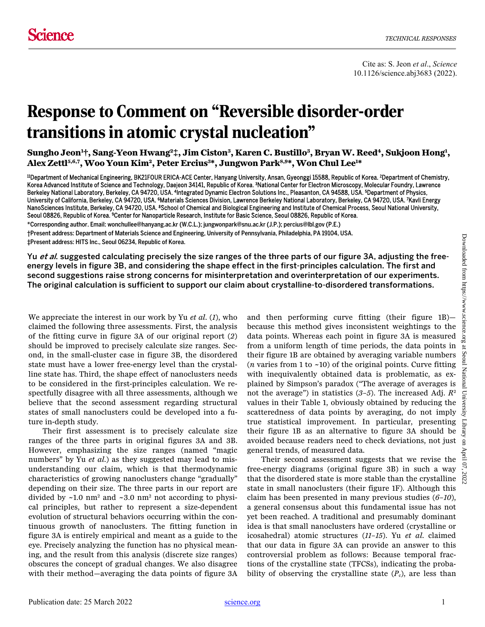## Response to Comment on "Reversible disorder-order transitions in atomic crystal nucleation"

**Sungho Jeon1 †, Sang-Yeon Hwang2‡, Jim Ciston3 , Karen C. Bustillo3 , Bryan W. Reed4, Sukjoon Hong1 , Alex Zettl5,6,7, Woo Youn Kim2, Peter Ercius3 \*, Jungwon Park8,9\*, Won Chul Lee1 \***

11 Department of Mechanical Engineering, BK21FOUR ERICA-ACE Center, Hanyang University, Ansan, Gyeonggi 15588, Republic of Korea. 2Department of Chemistry, Korea Advanced Institute of Science and Technology, Daejeon 34141, Republic of Korea. <sup>3</sup>National Center for Electron Microscopy, Molecular Foundry, Lawrence Berkeley National Laboratory, Berkeley, CA 94720, USA. <sup>4</sup>Integrated Dynamic Electron Solutions Inc., Pleasanton, CA 94588, USA. 5Department of Physics, University of California, Berkeley, CA 94720, USA. <sup>6</sup>Materials Sciences Division, Lawrence Berkeley National Laboratory, Berkeley, CA 94720, USA. <sup>7</sup>Kavli Energy NanoSciences Institute, Berkeley, CA 94720, USA. <sup>8</sup>School of Chemical and Biological Engineering and Institute of Chemical Process, Seoul National University, Seoul 08826, Republic of Korea. <sup>9</sup>Center for Nanoparticle Research, Institute for Basic Science, Seoul 08826, Republic of Korea.

\*Corresponding author. Email: wonchullee@hanyang.ac.kr (W.C.L.); jungwonpark@snu.ac.kr (J.P.); percius@lbl.gov (P.E.) †Present address: Department of Materials Science and Engineering, University of Pennsylvania, Philadelphia, PA 19104, USA. ‡Present address: HITS Inc., Seoul 06234, Republic of Korea.

Yu *et al*. suggested calculating precisely the size ranges of the three parts of our figure 3A, adjusting the freeenergy levels in figure 3B, and considering the shape effect in the first-principles calculation. The first and second suggestions raise strong concerns for misinterpretation and overinterpretation of our experiments. The original calculation is sufficient to support our claim about crystalline-to-disordered transformations.

We appreciate the interest in our work by Yu *et al*. (*1*), who claimed the following three assessments. First, the analysis of the fitting curve in figure 3A of our original report (*2*) should be improved to precisely calculate size ranges. Second, in the small-cluster case in figure 3B, the disordered state must have a lower free-energy level than the crystalline state has. Third, the shape effect of nanoclusters needs to be considered in the first-principles calculation. We respectfully disagree with all three assessments, although we believe that the second assessment regarding structural states of small nanoclusters could be developed into a future in-depth study.

Their first assessment is to precisely calculate size ranges of the three parts in original figures 3A and 3B. However, emphasizing the size ranges (named "magic numbers" by Yu *et al*.) as they suggested may lead to misunderstanding our claim, which is that thermodynamic characteristics of growing nanoclusters change "gradually" depending on their size. The three parts in our report are divided by  $\sim$ 1.0 nm<sup>2</sup> and  $\sim$ 3.0 nm<sup>2</sup> not according to physical principles, but rather to represent a size-dependent evolution of structural behaviors occurring within the continuous growth of nanoclusters. The fitting function in figure 3A is entirely empirical and meant as a guide to the eye. Precisely analyzing the function has no physical meaning, and the result from this analysis (discrete size ranges) obscures the concept of gradual changes. We also disagree with their method—averaging the data points of figure 3A

and then performing curve fitting (their figure 1B) because this method gives inconsistent weightings to the data points. Whereas each point in figure 3A is measured from a uniform length of time periods, the data points in their figure 1B are obtained by averaging variable numbers (*n* varies from 1 to  $\sim$ 10) of the original points. Curve fitting with inequivalently obtained data is problematic, as explained by Simpson's paradox ("The average of averages is not the average") in statistics (*3*–*5*). The increased Adj. *R*<sup>2</sup> values in their Table 1, obviously obtained by reducing the scatteredness of data points by averaging, do not imply true statistical improvement. In particular, presenting their figure 1B as an alternative to figure 3A should be avoided because readers need to check deviations, not just general trends, of measured data.

Their second assessment suggests that we revise the free-energy diagrams (original figure 3B) in such a way that the disordered state is more stable than the crystalline  $\frac{8}{5}$ state in small nanoclusters (their figure 1F). Although this claim has been presented in many previous studies (*6*–*10*), a general consensus about this fundamental issue has not yet been reached. A traditional and presumably dominant idea is that small nanoclusters have ordered (crystalline or icosahedral) atomic structures (*11*–*15*). Yu *et al*. claimed that our data in figure 3A can provide an answer to this controversial problem as follows: Because temporal fractions of the crystalline state (TFCSs), indicating the probability of observing the crystalline state  $(P_c)$ , are less than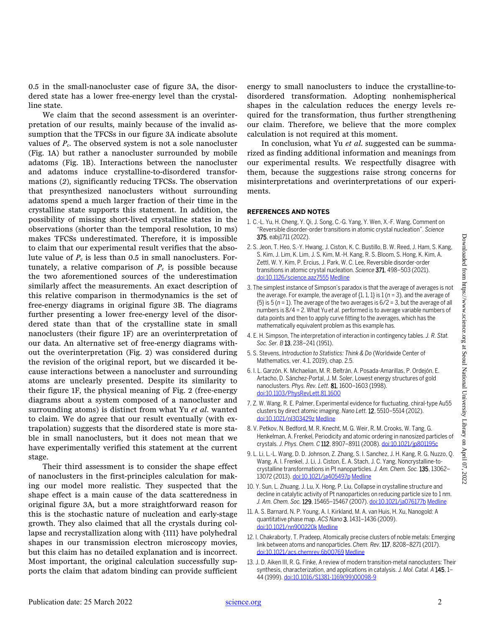0.5 in the small-nanocluster case of figure 3A, the disordered state has a lower free-energy level than the crystalline state.

We claim that the second assessment is an overinterpretation of our results, mainly because of the invalid assumption that the TFCSs in our figure 3A indicate absolute values of  $P_c$ . The observed system is not a sole nanocluster (Fig. 1A) but rather a nanocluster surrounded by mobile adatoms (Fig. 1B). Interactions between the nanocluster and adatoms induce crystalline-to-disordered transformations (*2*), significantly reducing TFCSs. The observation that presynthesized nanoclusters without surrounding adatoms spend a much larger fraction of their time in the crystalline state supports this statement. In addition, the possibility of missing short-lived crystalline states in the observations (shorter than the temporal resolution, 10 ms) makes TFCSs underestimated. Therefore, it is impossible to claim that our experimental result verifies that the absolute value of  $P_c$  is less than 0.5 in small nanoclusters. Fortunately, a relative comparison of  $P_c$  is possible because the two aforementioned sources of the underestimation similarly affect the measurements. An exact description of this relative comparison in thermodynamics is the set of free-energy diagrams in original figure 3B. The diagrams further presenting a lower free-energy level of the disordered state than that of the crystalline state in small nanoclusters (their figure 1F) are an overinterpretation of our data. An alternative set of free-energy diagrams without the overinterpretation (Fig. 2) was considered during the revision of the original report, but we discarded it because interactions between a nanocluster and surrounding atoms are unclearly presented. Despite its similarity to their figure 1F, the physical meaning of Fig. 2 (free-energy diagrams about a system composed of a nanocluster and surrounding atoms) is distinct from what Yu *et al*. wanted to claim. We do agree that our result eventually (with extrapolation) suggests that the disordered state is more stable in small nanoclusters, but it does not mean that we have experimentally verified this statement at the current stage.

Their third assessment is to consider the shape effect of nanoclusters in the first-principles calculation for making our model more realistic. They suspected that the shape effect is a main cause of the data scatteredness in original figure 3A, but a more straightforward reason for this is the stochastic nature of nucleation and early-stage growth. They also claimed that all the crystals during collapse and recrystallization along with {111} have polyhedral shapes in our transmission electron microscopy movies, but this claim has no detailed explanation and is incorrect. Most important, the original calculation successfully supports the claim that adatom binding can provide sufficient

energy to small nanoclusters to induce the crystalline-todisordered transformation. Adopting nonhemispherical shapes in the calculation reduces the energy levels required for the transformation, thus further strengthening our claim. Therefore, we believe that the more complex calculation is not required at this moment.

In conclusion, what Yu *et al*. suggested can be summarized as finding additional information and meanings from our experimental results. We respectfully disagree with them, because the suggestions raise strong concerns for misinterpretations and overinterpretations of our experiments.

## **REFERENCES AND NOTES**

- 1. C.-L. Yu, H. Cheng, Y. Qi, J. Song, C.-G. Yang, Y. Wen, X.-F. Wang, Comment on "Reversible disorder-order transitions in atomic crystal nucleation". *Science* 375, eabj1711 (2022).
- 2. S. Jeon, T. Heo, S.-Y. Hwang, J. Ciston, K. C. Bustillo, B. W. Reed, J. Ham, S. Kang, S. Kim, J. Lim, K. Lim, J. S. Kim, M.-H. Kang, R. S. Bloom, S. Hong, K. Kim, A. Zettl, W. Y. Kim, P. Ercius, J. Park, W. C. Lee, Reversible disorder-order transitions in atomic crystal nucleation. *Science* 371, 498–503 (2021). [doi:10.1126/science.aaz7555](http://dx.doi.org/10.1126/science.aaz7555) [Medline](http://www.ncbi.nlm.nih.gov/entrez/query.fcgi?cmd=Retrieve&db=PubMed&list_uids=33510024&dopt=Abstract)
- 3. The simplest instance of Simpson's paradox is that the average of averages is not the average. For example, the average of {1, 1, 1} is 1 (*n* = 3), and the average of {5} is 5 (*n* = 1). The average of the two averages is 6/2 = 3, but the average of all numbers is 8/4 = 2. What Yu *et al.* performed is to average variable numbers of data points and then to apply curve fitting to the averages, which has the mathematically equivalent problem as this example has.
- 4. E. H. Simpson, The interpretation of interaction in contingency tables. *J. R. Stat. Soc. Ser. B* 13, 238–241 (1951).
- 5. S. Stevens, *Introduction to Statistics: Think & Do* (Worldwide Center of Mathematics, ver. 4.1, 2019), chap. 2.5.
- 6. I. L. Garzón, K. Michaelian, M. R. Beltrán, A. Posada-Amarillas, P. Ordejón, E. Artacho, D. Sánchez-Portal, J. M. Soler, Lowest energy structures of gold nanoclusters. *Phys. Rev. Lett.* 81, 1600–1603 (1998). [doi:10.1103/PhysRevLett.81.1600](http://dx.doi.org/10.1103/PhysRevLett.81.1600)
- 7. Z. W. Wang, R. E. Palmer, Experimental evidence for fluctuating, chiral-type Au55 clusters by direct atomic imaging. *Nano Lett.* 12, 5510–5514 (2012). [doi:10.1021/nl303429z](http://dx.doi.org/10.1021/nl303429z) [Medline](http://www.ncbi.nlm.nih.gov/entrez/query.fcgi?cmd=Retrieve&db=PubMed&list_uids=23057610&dopt=Abstract)
- 8. V. Petkov, N. Bedford, M. R. Knecht, M. G. Weir, R. M. Crooks, W. Tang, G. Henkelman, A. Frenkel, Periodicity and atomic ordering in nanosized particles of crystals. *J. Phys. Chem. C* 112, 8907–8911 (2008)[. doi:10.1021/jp801195c](http://dx.doi.org/10.1021/jp801195c)
- 9. L. Li, L.-L. Wang, D. D. Johnson, Z. Zhang, S. I. Sanchez, J. H. Kang, R. G. Nuzzo, Q. Wang, A. I. Frenkel, J. Li, J. Ciston, E. A. Stach, J. C. Yang, Noncrystalline-tocrystalline transformations in Pt nanoparticles. *J. Am. Chem. Soc.* 135, 13062– 13072 (2013)[. doi:10.1021/ja405497p](http://dx.doi.org/10.1021/ja405497p) [Medline](http://www.ncbi.nlm.nih.gov/entrez/query.fcgi?cmd=Retrieve&db=PubMed&list_uids=23869582&dopt=Abstract)
- 10. Y. Sun, L. Zhuang, J. Lu, X. Hong, P. Liu, Collapse in crystalline structure and decline in catalytic activity of Pt nanoparticles on reducing particle size to 1 nm. *J. Am. Chem. Soc.* 129, 15465–15467 (2007)[. doi:10.1021/ja076177b](http://dx.doi.org/10.1021/ja076177b) [Medline](http://www.ncbi.nlm.nih.gov/entrez/query.fcgi?cmd=Retrieve&db=PubMed&list_uids=18031043&dopt=Abstract)
- 11. A. S. Barnard, N. P. Young, A. I. Kirkland, M. A. van Huis, H. Xu, Nanogold: A quantitative phase map. *ACS Nano* 3, 1431–1436 (2009). [doi:10.1021/nn900220k](http://dx.doi.org/10.1021/nn900220k) [Medline](http://www.ncbi.nlm.nih.gov/entrez/query.fcgi?cmd=Retrieve&db=PubMed&list_uids=19489558&dopt=Abstract)
- 12. I. Chakraborty, T. Pradeep, Atomically precise clusters of noble metals: Emerging link between atoms and nanoparticles. *Chem. Rev.* 117, 8208–8271 (2017). [doi:10.1021/acs.chemrev.6b00769](http://dx.doi.org/10.1021/acs.chemrev.6b00769) [Medline](http://www.ncbi.nlm.nih.gov/entrez/query.fcgi?cmd=Retrieve&db=PubMed&list_uids=28586213&dopt=Abstract)
- 13. J. D. Aiken III, R. G. Finke, A review of modern transition-metal nanoclusters: Their synthesis, characterization, and applications in catalysis. *J. Mol. Catal. A* 145, 1– 44 (1999)[. doi:10.1016/S1381-1169\(99\)00098-9](http://dx.doi.org/10.1016/S1381-1169(99)00098-9)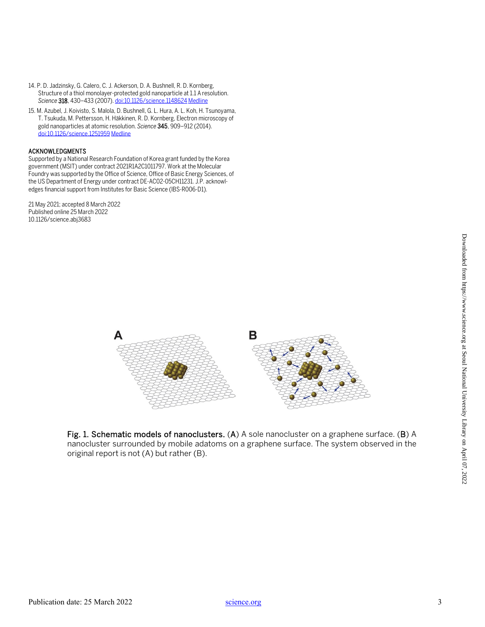- 14. P. D. Jadzinsky, G. Calero, C. J. Ackerson, D. A. Bushnell, R. D. Kornberg, Structure of a thiol monolayer-protected gold nanoparticle at 1.1 A resolution. *Science* 318, 430–433 (2007)[. doi:10.1126/science.1148624](http://dx.doi.org/10.1126/science.1148624) [Medline](http://www.ncbi.nlm.nih.gov/entrez/query.fcgi?cmd=Retrieve&db=PubMed&list_uids=17947577&dopt=Abstract)
- 15. M. Azubel, J. Koivisto, S. Malola, D. Bushnell, G. L. Hura, A. L. Koh, H. Tsunoyama, T. Tsukuda, M. Pettersson, H. Häkkinen, R. D. Kornberg, Electron microscopy of gold nanoparticles at atomic resolution. *Science* 345, 909–912 (2014). [doi:10.1126/science.1251959](http://dx.doi.org/10.1126/science.1251959) [Medline](http://www.ncbi.nlm.nih.gov/entrez/query.fcgi?cmd=Retrieve&db=PubMed&list_uids=25146285&dopt=Abstract)

## ACKNOWLEDGMENTS

Supported by a National Research Foundation of Korea grant funded by the Korea government (MSIT) under contract 2021R1A2C1011797. Work at the Molecular Foundry was supported by the Office of Science, Office of Basic Energy Sciences, of the US Department of Energy under contract DE-AC02-05CH11231. J.P. acknowledges financial support from Institutes for Basic Science (IBS-R006-D1).

21 May 2021; accepted 8 March 2022 Published online 25 March 2022 10.1126/science.abj3683



Fig. 1. Schematic models of nanoclusters. (A) A sole nanocluster on a graphene surface. (B) A nanocluster surrounded by mobile adatoms on a graphene surface. The system observed in the original report is not (A) but rather (B).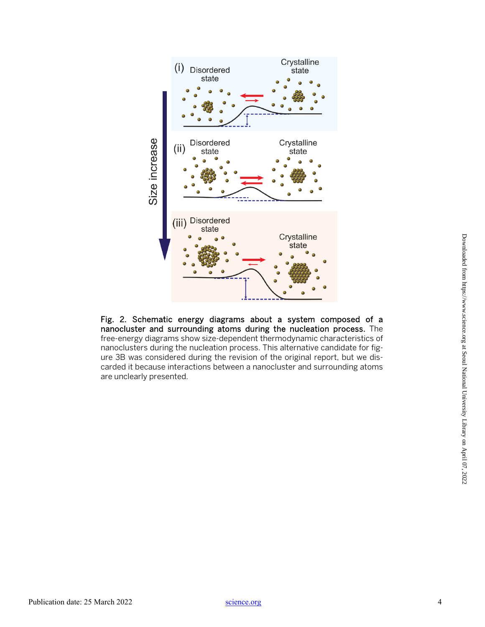